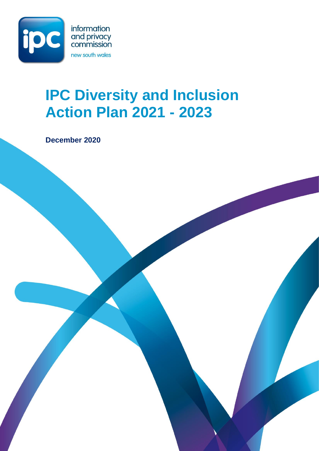

# **IPC Diversity and Inclusion Action Plan 2021 - 2023**

**December 2020**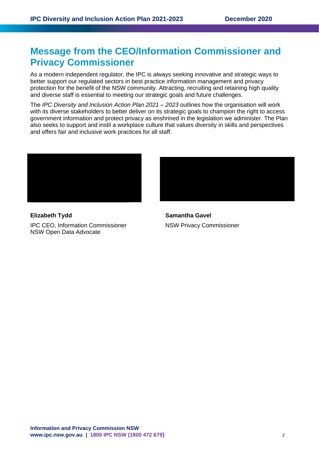# **Message from the CEO/Information Commissioner and Privacy Commissioner**

As a modern independent regulator, the IPC is always seeking innovative and strategic ways to better support our regulated sectors in best practice information management and privacy protection for the benefit of the NSW community. Attracting, recruiting and retaining high quality and diverse staff is essential to meeting our strategic goals and future challenges.

The *IPC Diversity and Inclusion Action Plan 2021 – 2023* outlines how the organisation will work with its diverse stakeholders to better deliver on its strategic goals to champion the right to access government information and protect privacy as enshrined in the legislation we administer. The Plan also seeks to support and instil a workplace culture that values diversity in skills and perspectives and offers fair and inclusive work practices for all staff.



**Elizabeth Tydd Samantha Gavel**  IPC CEO, Information Commissioner NSW Privacy Commissioner NSW Open Data Advocate

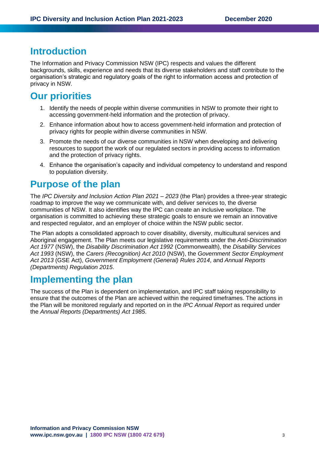### **Introduction**

The Information and Privacy Commission NSW (IPC) respects and values the different backgrounds, skills, experience and needs that its diverse stakeholders and staff contribute to the organisation's strategic and regulatory goals of the right to information access and protection of privacy in NSW.

# **Our priorities**

- 1. Identify the needs of people within diverse communities in NSW to promote their right to accessing government-held information and the protection of privacy.
- 2. Enhance information about how to access government-held information and protection of privacy rights for people within diverse communities in NSW.
- 3. Promote the needs of our diverse communities in NSW when developing and delivering resources to support the work of our regulated sectors in providing access to information and the protection of privacy rights.
- 4. Enhance the organisation's capacity and individual competency to understand and respond to population diversity.

### **Purpose of the plan**

The *IPC Diversity and Inclusion Action Plan 2021 – 2023* (the Plan) provides a three-year strategic roadmap to improve the way we communicate with, and deliver services to, the diverse communities of NSW. It also identifies way the IPC can create an inclusive workplace. The organisation is committed to achieving these strategic goals to ensure we remain an innovative and respected regulator, and an employer of choice within the NSW public sector.

The Plan adopts a consolidated approach to cover disability, diversity, multicultural services and Aboriginal engagement. The Plan meets our legislative requirements under the *Anti-Discrimination Act 1977* (NSW), the *Disability Discrimination Act 1992* (Commonwealth), the *Disability Services Act 1993* (NSW), the *Carers (Recognition) Act 2010* (NSW), the *Government Sector Employment Act 2013* (GSE Act), *Government Employment (General) Rules 2014*, and *Annual Reports (Departments) Regulation 2015*.

### **Implementing the plan**

The success of the Plan is dependent on implementation, and IPC staff taking responsibility to ensure that the outcomes of the Plan are achieved within the required timeframes. The actions in the Plan will be monitored regularly and reported on in the *IPC Annual Report* as required under the *Annual Reports (Departments) Act 1985*.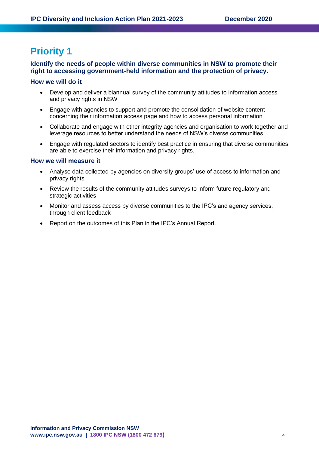### **Identify the needs of people within diverse communities in NSW to promote their right to accessing government-held information and the protection of privacy.**

#### **How we will do it**

- Develop and deliver a biannual survey of the community attitudes to information access and privacy rights in NSW
- Engage with agencies to support and promote the consolidation of website content concerning their information access page and how to access personal information
- Collaborate and engage with other integrity agencies and organisation to work together and leverage resources to better understand the needs of NSW's diverse communities
- Engage with regulated sectors to identify best practice in ensuring that diverse communities are able to exercise their information and privacy rights.

- Analyse data collected by agencies on diversity groups' use of access to information and privacy rights
- Review the results of the community attitudes surveys to inform future regulatory and strategic activities
- Monitor and assess access by diverse communities to the IPC's and agency services, through client feedback
- Report on the outcomes of this Plan in the IPC's Annual Report.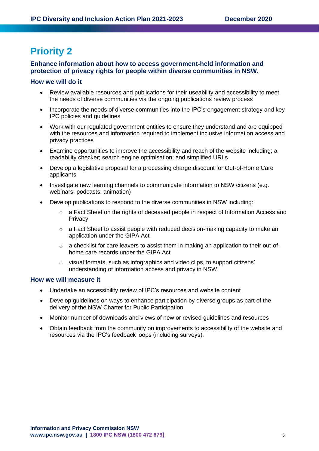### **Enhance information about how to access government-held information and protection of privacy rights for people within diverse communities in NSW.**

#### **How we will do it**

- Review available resources and publications for their useability and accessibility to meet the needs of diverse communities via the ongoing publications review process
- Incorporate the needs of diverse communities into the IPC's engagement strategy and key IPC policies and guidelines
- Work with our regulated government entities to ensure they understand and are equipped with the resources and information required to implement inclusive information access and privacy practices
- Examine opportunities to improve the accessibility and reach of the website including; a readability checker; search engine optimisation; and simplified URLs
- Develop a legislative proposal for a processing charge discount for Out-of-Home Care applicants
- Investigate new learning channels to communicate information to NSW citizens (e.g. webinars, podcasts, animation)
- Develop publications to respond to the diverse communities in NSW including:
	- $\circ$  a Fact Sheet on the rights of deceased people in respect of Information Access and **Privacy**
	- o a Fact Sheet to assist people with reduced decision-making capacity to make an application under the GIPA Act
	- o a checklist for care leavers to assist them in making an application to their out-ofhome care records under the GIPA Act
	- o visual formats, such as infographics and video clips, to support citizens' understanding of information access and privacy in NSW.

- Undertake an accessibility review of IPC's resources and website content
- Develop guidelines on ways to enhance participation by diverse groups as part of the delivery of the NSW Charter for Public Participation
- Monitor number of downloads and views of new or revised guidelines and resources
- Obtain feedback from the community on improvements to accessibility of the website and resources via the IPC's feedback loops (including surveys).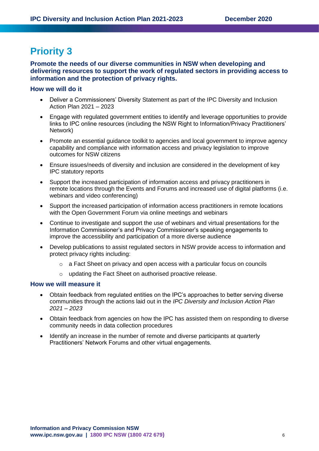**Promote the needs of our diverse communities in NSW when developing and delivering resources to support the work of regulated sectors in providing access to information and the protection of privacy rights.** 

#### **How we will do it**

- Deliver a Commissioners' Diversity Statement as part of the IPC Diversity and Inclusion Action Plan 2021 – 2023
- Engage with regulated government entities to identify and leverage opportunities to provide links to IPC online resources (including the NSW Right to Information/Privacy Practitioners' Network)
- Promote an essential guidance toolkit to agencies and local government to improve agency capability and compliance with information access and privacy legislation to improve outcomes for NSW citizens
- Ensure issues/needs of diversity and inclusion are considered in the development of key IPC statutory reports
- Support the increased participation of information access and privacy practitioners in remote locations through the Events and Forums and increased use of digital platforms (i.e. webinars and video conferencing)
- Support the increased participation of information access practitioners in remote locations with the Open Government Forum via online meetings and webinars
- Continue to investigate and support the use of webinars and virtual presentations for the Information Commissioner's and Privacy Commissioner's speaking engagements to improve the accessibility and participation of a more diverse audience
- Develop publications to assist regulated sectors in NSW provide access to information and protect privacy rights including:
	- $\circ$  a Fact Sheet on privacy and open access with a particular focus on councils
	- o updating the Fact Sheet on authorised proactive release.

- Obtain feedback from regulated entities on the IPC's approaches to better serving diverse communities through the actions laid out in the *IPC Diversity and Inclusion Action Plan 2021 – 2023*
- Obtain feedback from agencies on how the IPC has assisted them on responding to diverse community needs in data collection procedures
- Identify an increase in the number of remote and diverse participants at quarterly Practitioners' Network Forums and other virtual engagements.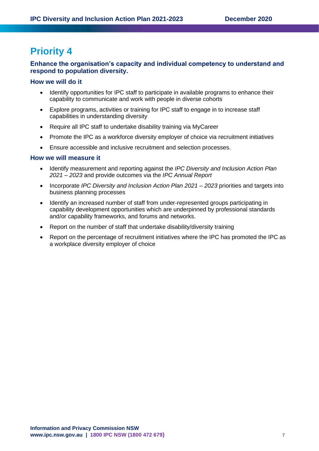#### **Enhance the organisation's capacity and individual competency to understand and respond to population diversity.**

#### **How we will do it**

- Identify opportunities for IPC staff to participate in available programs to enhance their capability to communicate and work with people in diverse cohorts
- Explore programs, activities or training for IPC staff to engage in to increase staff capabilities in understanding diversity
- Require all IPC staff to undertake disability training via MyCareer
- Promote the IPC as a workforce diversity employer of choice via recruitment initiatives
- Ensure accessible and inclusive recruitment and selection processes.

- Identify measurement and reporting against the *IPC Diversity and Inclusion Action Plan 2021 – 2023* and provide outcomes via the *IPC Annual Report*
- Incorporate *IPC Diversity and Inclusion Action Plan 2021 – 2023* priorities and targets into business planning processes
- Identify an increased number of staff from under-represented groups participating in capability development opportunities which are underpinned by professional standards and/or capability frameworks, and forums and networks.
- Report on the number of staff that undertake disability/diversity training
- Report on the percentage of recruitment initiatives where the IPC has promoted the IPC as a workplace diversity employer of choice